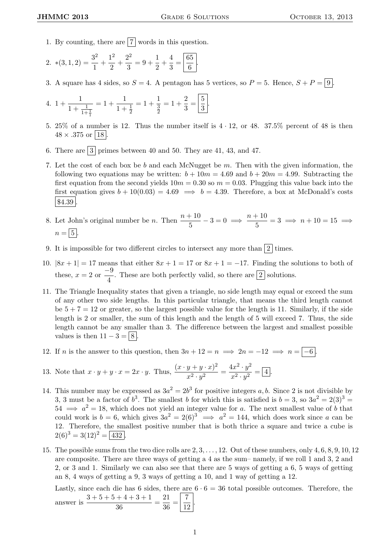- 1. By counting, there are  $\boxed{7}$  words in this question.
- 2.  $*(3,1,2) = \frac{3^2}{1}$  $\frac{3^2}{1} + \frac{1^2}{2}$  $\frac{1^2}{2} + \frac{2^2}{3}$  $\frac{2^2}{3} = 9 + \frac{1}{2}$  $\frac{1}{2} + \frac{4}{3}$  $rac{4}{3} = \frac{65}{6}$  $\frac{5}{6}$ .
- 3. A square has 4 sides, so  $S = 4$ . A pentagon has 5 vertices, so  $P = 5$ . Hence,  $S + P = \boxed{9}$ .

4. 
$$
1 + \frac{1}{1 + \frac{1}{1 + \frac{1}{1}}} = 1 + \frac{1}{1 + \frac{1}{2}} = 1 + \frac{1}{\frac{3}{2}} = 1 + \frac{2}{3} = \boxed{\frac{5}{3}}
$$

5. 25% of a number is 12. Thus the number itself is  $4 \cdot 12$ , or  $48$ . 37.5% percent of  $48$  is then  $48 \times .375$  or |18|

.

- 6. There are  $3$  primes between 40 and 50. They are 41, 43, and 47.
- 7. Let the cost of each box be b and each McNugget be  $m$ . Then with the given information, the following two equations may be written:  $b + 10m = 4.69$  and  $b + 20m = 4.99$ . Subtracting the first equation from the second yields  $10m = 0.30$  so  $m = 0.03$ . Plugging this value back into the first equation gives  $b + 10(0.03) = 4.69 \implies b = 4.39$ . Therefore, a box at McDonald's costs  $| $4.39|$
- 8. Let John's original number be *n*. Then  $\frac{n+10}{5} 3 = 0 \implies \frac{n+10}{5}$  $\frac{1}{5}$  = 3  $\implies$  n + 10 = 15  $\implies$  $n = 5$
- 9. It is impossible for two different circles to intersect any more than  $\boxed{2}$  times.
- 10.  $|8x + 1| = 17$  means that either  $8x + 1 = 17$  or  $8x + 1 = -17$ . Finding the solutions to both of these,  $x = 2$  or  $\frac{-9}{4}$  $\frac{1}{4}$ . These are both perfectly valid, so there are  $\boxed{2}$  solutions.
- 11. The Triangle Inequality states that given a triangle, no side length may equal or exceed the sum of any other two side lengths. In this particular triangle, that means the third length cannot be  $5 + 7 = 12$  or greater, so the largest possible value for the length is 11. Similarly, if the side length is 2 or smaller, the sum of this length and the length of 5 will exceed 7. Thus, the side length cannot be any smaller than 3. The difference between the largest and smallest possible values is then  $11 - 3 = 8$ .
- 12. If *n* is the answer to this question, then  $3n + 12 = n \implies 2n = -12 \implies n = -6$ .

13. Note that 
$$
x \cdot y + y \cdot x = 2x \cdot y
$$
. Thus,  $\frac{(x \cdot y + y \cdot x)^2}{x^2 \cdot y^2} = \frac{4x^2 \cdot y^2}{x^2 \cdot y^2} = 4$ .

- 14. This number may be expressed as  $3a^2 = 2b^3$  for positive integers a, b. Since 2 is not divisible by 3, 3 must be a factor of  $b^3$ . The smallest b for which this is satisfied is  $b = 3$ , so  $3a^2 = 2(3)^3$  $54 \implies a^2 = 18$ , which does not yield an integer value for a. The next smallest value of b that could work is  $b = 6$ , which gives  $3a^2 = 2(6)^3 \implies a^2 = 144$ , which does work since a can be 12. Therefore, the smallest positive number that is both thrice a square and twice a cube is  $2(6)^3 = 3(12)^2 = 432$
- 15. The possible sums from the two dice rolls are 2, 3, . . . , 12. Out of these numbers, only 4, 6, 8, 9, 10, 12 are composite. There are three ways of getting a 4 as the sum– namely, if we roll 1 and 3, 2 and 2, or 3 and 1. Similarly we can also see that there are 5 ways of getting a 6, 5 ways of getting an 8, 4 ways of getting a 9, 3 ways of getting a 10, and 1 way of getting a 12.

Lastly, since each die has 6 sides, there are  $6 \cdot 6 = 36$  total possible outcomes. Therefore, the answer is  $\frac{3+5+5+4+3+1}{36}$  $\frac{+4+3+1}{36} = \frac{21}{36}$  $rac{21}{36} = \frac{7}{12}$ 12 .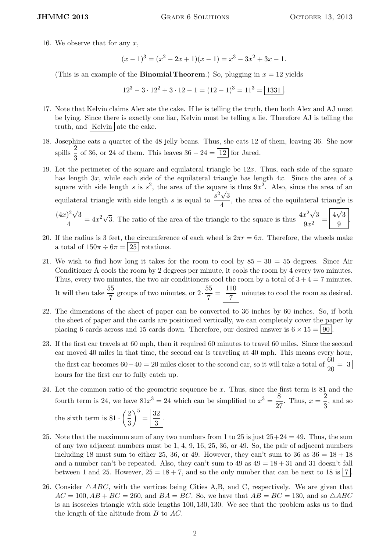16. We observe that for any  $x$ ,

$$
(x-1)3 = (x2 - 2x + 1)(x - 1) = x3 - 3x2 + 3x - 1.
$$

(This is an example of the **Binomial Theorem.**) So, plugging in  $x = 12$  yields

 $12^3 - 3 \cdot 12^2 + 3 \cdot 12 - 1 = (12 - 1)^3 = 11^3 = \boxed{1331}$ 

- 17. Note that Kelvin claims Alex ate the cake. If he is telling the truth, then both Alex and AJ must be lying. Since there is exactly one liar, Kelvin must be telling a lie. Therefore AJ is telling the truth, and | Kelvin | ate the cake.
- 18. Josephine eats a quarter of the 48 jelly beans. Thus, she eats 12 of them, leaving 36. She now spills  $\frac{2}{3}$  of 36, or 24 of them. This leaves  $36 - 24 = \boxed{12}$  for Jared.
- 19. Let the perimeter of the square and equilateral triangle be  $12x$ . Thus, each side of the square has length  $3x$ , while each side of the equilateral triangle has length  $4x$ . Since the area of a square with side length s is  $s^2$ , the area of the square is thus  $9x^2$ . Also, since the area of an equilateral triangle with side length s is equal to  $\frac{s^2\sqrt{3}}{4}$  $\frac{\sqrt{6}}{4}$ , the area of the equilateral triangle is  $(4x)^2\sqrt{ }$ 3  $\frac{4}{4}$  = 4x<sup>2</sup> $\sqrt{3}$ . The ratio of the area of the triangle to the square is thus  $\frac{4x^2\sqrt{3}}{9x^2}$ 3  $\frac{x^2\sqrt{3}}{9x^2} = \frac{4}{3}$ √ 3  $\frac{1}{9}$
- 20. If the radius is 3 feet, the circumference of each wheel is  $2\pi r = 6\pi$ . Therefore, the wheels make a total of  $150\pi \div 6\pi = |25|$  rotations.
- 21. We wish to find how long it takes for the room to cool by  $85 30 = 55$  degrees. Since Air Conditioner A cools the room by 2 degrees per minute, it cools the room by 4 every two minutes. Thus, every two minutes, the two air conditioners cool the room by a total of  $3 + 4 = 7$  minutes. It will then take  $\frac{55}{7}$  groups of two minutes, or  $2 \cdot \frac{55}{7}$  $rac{55}{7} = \frac{110}{7}$  $\frac{10}{7}$  minutes to cool the room as desired.
- 22. The dimensions of the sheet of paper can be converted to 36 inches by 60 inches. So, if both the sheet of paper and the cards are positioned vertically, we can completely cover the paper by placing 6 cards across and 15 cards down. Therefore, our desired answer is  $6 \times 15 = 90$ .
- 23. If the first car travels at 60 mph, then it required 60 minutes to travel 60 miles. Since the second car moved 40 miles in that time, the second car is traveling at 40 mph. This means every hour, the first car becomes  $60-40=20$  miles closer to the second car, so it will take a total of  $\frac{60}{20} = 3$ hours for the first car to fully catch up.
- 24. Let the common ratio of the geometric sequence be x. Thus, since the first term is 81 and the fourth term is 24, we have  $81x^3 = 24$  which can be simplified to  $x^3 = \frac{8}{3}$  $\frac{8}{27}$ . Thus,  $x = \frac{2}{3}$  $\frac{2}{3}$ , and so the sixth term is  $81 \cdot \left(\frac{2}{5}\right)$ 3  $\bigg\}^5 = \boxed{\frac{32}{2}}$  $\frac{2}{3}$
- 25. Note that the maximum sum of any two numbers from 1 to 25 is just  $25+24 = 49$ . Thus, the sum of any two adjacent numbers must be 1, 4, 9, 16, 25, 36, or 49. So, the pair of adjacent numbers including 18 must sum to either 25, 36, or 49. However, they can't sum to 36 as  $36 = 18 + 18$ and a number can't be repeated. Also, they can't sum to  $49$  as  $49 = 18 + 31$  and 31 doesn't fall between 1 and 25. However,  $25 = 18 + 7$ , and so the only number that can be next to 18 is 7.
- 26. Consider  $\triangle ABC$ , with the vertices being Cities A,B, and C, respectively. We are given that  $AC = 100, AB + BC = 260$ , and  $BA = BC$ . So, we have that  $AB = BC = 130$ , and so  $\triangle ABC$ is an isosceles triangle with side lengths 100, 130, 130. We see that the problem asks us to find the length of the altitude from B to AC.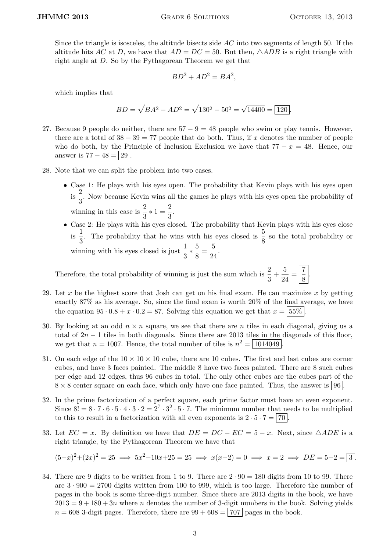Since the triangle is isosceles, the altitude bisects side  $AC$  into two segments of length 50. If the altitude hits AC at D, we have that  $AD = DC = 50$ . But then,  $\triangle ADB$  is a right triangle with right angle at D. So by the Pythagorean Theorem we get that

$$
BD^2 + AD^2 = BA^2,
$$

which implies that

$$
BD = \sqrt{BA^2 - AD^2} = \sqrt{130^2 - 50^2} = \sqrt{14400} = \boxed{120}.
$$

- 27. Because 9 people do neither, there are  $57 9 = 48$  people who swim or play tennis. However, there are a total of  $38 + 39 = 77$  people that do both. Thus, if x denotes the number of people who do both, by the Principle of Inclusion Exclusion we have that  $77 - x = 48$ . Hence, our answer is  $77 - 48 = 29$ .
- 28. Note that we can split the problem into two cases.
	- Case 1: He plays with his eyes open. The probability that Kevin plays with his eyes open  $\frac{2}{\text{is}}$  $\frac{2}{3}$ . Now because Kevin wins all the games he plays with his eyes open the probability of winning in this case is  $\frac{2}{3} \times 1 = \frac{2}{3}$  $\frac{2}{3}$ .
	- Case 2: He plays with his eyes closed. The probability that Kevin plays with his eyes close is  $\frac{1}{2}$  $\frac{1}{3}$ . The probability that he wins with his eyes closed is  $\frac{5}{8}$  so the total probability or winning with his eyes closed is just  $\frac{1}{3} * \frac{5}{8}$  $\frac{5}{8} = \frac{5}{24}$  $\frac{8}{24}$ .

Therefore, the total probability of winning is just the sum which is  $\frac{2}{3} + \frac{5}{2^2}$  $\frac{5}{24} = \left| \frac{7}{8} \right|$  $\frac{1}{8}$ 

- 29. Let x be the highest score that Josh can get on his final exam. He can maximize x by getting exactly 87% as his average. So, since the final exam is worth 20% of the final average, we have the equation  $95 \cdot 0.8 + x \cdot 0.2 = 87$ . Solving this equation we get that  $x = 55\%$
- 30. By looking at an odd  $n \times n$  square, we see that there are n tiles in each diagonal, giving us a total of  $2n - 1$  tiles in both diagonals. Since there are 2013 tiles in the diagonals of this floor, we get that  $n = 1007$ . Hence, the total number of tiles is  $n^2 = \boxed{1014049}$ .
- 31. On each edge of the  $10 \times 10 \times 10$  cube, there are 10 cubes. The first and last cubes are corner cubes, and have 3 faces painted. The middle 8 have two faces painted. There are 8 such cubes per edge and 12 edges, thus 96 cubes in total. The only other cubes are the cubes part of the  $8 \times 8$  center square on each face, which only have one face painted. Thus, the answer is  $96$ .
- 32. In the prime factorization of a perfect square, each prime factor must have an even exponent. Since  $8! = 8 \cdot 7 \cdot 6 \cdot 5 \cdot 4 \cdot 3 \cdot 2 = 2^7 \cdot 3^2 \cdot 5 \cdot 7$ . The minimum number that needs to be multiplied to this to result in a factorization with all even exponents is  $2 \cdot 5 \cdot 7 = 70$ .
- 33. Let  $EC = x$ . By definition we have that  $DE = DC EC = 5 x$ . Next, since  $\triangle ADE$  is a right triangle, by the Pythagorean Theorem we have that

$$
(5-x)^2 + (2x)^2 = 25 \implies 5x^2 - 10x + 25 = 25 \implies x(x-2) = 0 \implies x = 2 \implies DE = 5-2 = \boxed{3}.
$$

34. There are 9 digits to be written from 1 to 9. There are  $2 \cdot 90 = 180$  digits from 10 to 99. There are  $3 \cdot 900 = 2700$  digits written from 100 to 999, which is too large. Therefore the number of pages in the book is some three-digit number. Since there are 2013 digits in the book, we have  $2013 = 9 + 180 + 3n$  where n denotes the number of 3-digit numbers in the book. Solving yields  $n = 608$  3-digit pages. Therefore, there are  $99 + 608 = |707|$  pages in the book.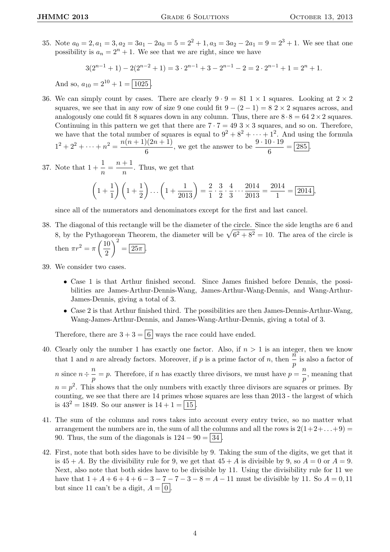35. Note  $a_0 = 2, a_1 = 3, a_2 = 3a_1 - 2a_0 = 5 = 2^2 + 1, a_3 = 3a_2 - 2a_1 = 9 = 2^3 + 1$ . We see that one possibility is  $a_n = 2^n + 1$ . We see that we are right, since we have

 $3(2^{n-1}+1) - 2(2^{n-2}+1) = 3 \cdot 2^{n-1} + 3 - 2^{n-1} - 2 = 2 \cdot 2^{n-1} + 1 = 2^n + 1.$ 

And so,  $a_{10} = 2^{10} + 1 = \boxed{1025}$ .

36. We can simply count by cases. There are clearly  $9 \cdot 9 = 81 \times 1$  squares. Looking at  $2 \times 2$ squares, we see that in any row of size 9 one could fit  $9 - (2 - 1) = 8 \times 2$  squares across, and analogously one could fit 8 squares down in any column. Thus, there are  $8 \cdot 8 = 642 \times 2$  squares. Continuing in this pattern we get that there are  $7 \cdot 7 = 493 \times 3$  squares, and so on. Therefore, we have that the total number of squares is equal to  $9^2 + 8^2 + \cdots + 1^2$ . And using the formula  $1^2 + 2^2 + \cdots + n^2 = \frac{n(n+1)(2n+1)}{n}$  $\frac{(2n+1)}{6}$ , we get the answer to be  $\frac{9 \cdot 10 \cdot 19}{6} = 285$ .

37. Note that  $1 + \frac{1}{n} = \frac{n+1}{n}$  $\frac{1}{n}$ . Thus, we get that

$$
\left(1+\frac{1}{1}\right)\left(1+\frac{1}{2}\right)\dots\left(1+\frac{1}{2013}\right)=\frac{2}{1}\cdot\frac{3}{2}\cdot\frac{4}{3}\dots\frac{2014}{2013}=\frac{2014}{1}=\boxed{2014},
$$

since all of the numerators and denominators except for the first and last cancel.

- 38. The diagonal of this rectangle will be the diameter of the circle. Since the side lengths are 6 and 8, by the Pythagorean Theorem, the diameter will be  $\sqrt{6^2 + 8^2} = 10$ . The area of the circle is then  $\pi r^2 = \pi \left(\frac{10}{2}\right)$ 2  $\bigg\}^2 = \boxed{25\pi}.$
- 39. We consider two cases.
	- Case 1 is that Arthur finished second. Since James finished before Dennis, the possibilities are James-Arthur-Dennis-Wang, James-Arthur-Wang-Dennis, and Wang-Arthur-James-Dennis, giving a total of 3.
	- Case 2 is that Arthur finished third. The possibilities are then James-Dennis-Arthur-Wang, Wang-James-Arthur-Dennis, and James-Wang-Arthur-Dennis, giving a total of 3.

Therefore, there are  $3 + 3 = 6$  ways the race could have ended.

40. Clearly only the number 1 has exactly one factor. Also, if  $n > 1$  is an integer, then we know that 1 and *n* are already factors. Moreover, if *p* is a prime factor of *n*, then  $\frac{n}{p}$  is also a factor of *n* 

*n* since  $n \div \frac{n}{n}$  $\frac{p}{p} = p$ . Therefore, if *n* has exactly three divisors, we must have  $p = \frac{n}{p}$  $\frac{n}{p}$ , meaning that  $n = p<sup>2</sup>$ . This shows that the only numbers with exactly three divisors are squares or primes. By counting, we see that there are 14 primes whose squares are less than 2013 - the largest of which is  $43^2 = 1849$ . So our answer is  $14 + 1 = |15|$ .

- 41. The sum of the columns and rows takes into account every entry twice, so no matter what arrangement the numbers are in, the sum of all the columns and all the rows is  $2(1+2+\ldots+9)$ 90. Thus, the sum of the diagonals is  $124 - 90 = |34|$ .
- 42. First, note that both sides have to be divisible by 9. Taking the sum of the digits, we get that it is  $45 + A$ . By the divisibility rule for 9, we get that  $45 + A$  is divisible by 9, so  $A = 0$  or  $A = 9$ . Next, also note that both sides have to be divisible by 11. Using the divisibility rule for 11 we have that  $1 + A + 6 + 4 + 6 - 3 - 7 - 7 - 3 - 8 = A - 11$  must be divisible by 11. So  $A = 0, 11$ but since 11 can't be a digit,  $A = \boxed{0}$ .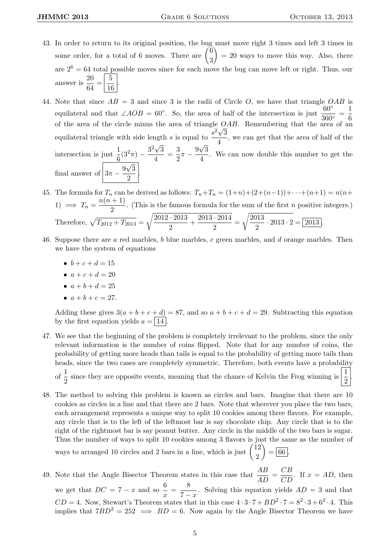- 43. In order to return to its original position, the bug must move right 3 times and left 3 times in some order, for a total of 6 moves. There are  $\begin{pmatrix} 6 \\ 0 \end{pmatrix}$ 3  $= 20$  ways to move this way. Also, there are  $2^6 = 64$  total possible moves since for each move the bug can move left or right. Thus, our answer is  $\frac{20}{c_4}$  $\frac{20}{64} = \frac{5}{16}$ 16 .
- 44. Note that since  $AB = 3$  and since 3 is the radii of Circle O, we have that triangle  $OAB$  is equilateral and that ∠AOB = 60°. So, the area of half of the intersection is just  $\frac{60°}{360°}$ 1 6 of the area of the circle minus the area of triangle  $OAB$ . Remembering that the area of an equilateral triangle with side length s is equal to  $\frac{s^2\sqrt{3}}{4}$  $\frac{\sqrt{6}}{4}$ , we can get that the area of half of the intersection is just  $\frac{1}{6}$  $\frac{1}{6}(3^2\pi) - \frac{3^2\sqrt{}}{4}$ 3  $\frac{\sqrt{3}}{4} = \frac{3}{2}$  $rac{3}{2}\pi-\frac{9}{2}$ √ 3  $\frac{\sqrt{9}}{4}$ . We can now double this number to get the final answer of  $3\pi - \frac{9\sqrt{3}}{2}$ √  $\frac{1}{2}$ .
- 45. The formula for  $T_n$  can be derived as follows:  $T_n+T_n = (1+n)+(2+(n-1))+\cdots+(n+1) = n(n+1)$ 1)  $\implies T_n = \frac{n(n+1)}{2}$  $\frac{1}{2}$ . (This is the famous formula for the sum of the first *n* positive integers.) Therefore,  $\sqrt{T_{2012} + T_{2013}}$  =  $\sqrt{2012 \cdot 2013}$  $\frac{+2013}{2} + \frac{2013 \cdot 2014}{2}$  $\frac{2011}{2}$  =  $\sqrt{2013}$  $\frac{918}{2} \cdot 2013 \cdot 2 = 2013.$
- 46. Suppose there are a red marbles, b blue marbles, c green marbles, and d orange marbles. Then we have the system of equations
	- $b + c + d = 15$
	- $a + c + d = 20$
	- $a + b + d = 25$
	- $a + b + c = 27$ .

Adding these gives  $3(a + b + c + d) = 87$ , and so  $a + b + c + d = 29$ . Subtracting this equation by the first equation yields  $a = \boxed{14}$ .

- 47. We see that the beginning of the problem is completely irrelevant to the problem, since the only relevant information is the number of coins flipped. Note that for any number of coins, the probability of getting more heads than tails is equal to the probability of getting more tails than heads, since the two cases are completely symmetric. Therefore, both events have a probability of  $\frac{1}{2}$  since they are opposite events, meaning that the chance of Kelvin the Frog winning is  $\frac{1}{2}$ 2 .
- 48. The method to solving this problem is known as circles and bars. Imagine that there are 10 cookies as circles in a line and that there are 2 bars. Note that wherever you place the two bars, each arrangement represents a unique way to split 10 cookies among three flavors. For example, any circle that is to the left of the leftmost bar is say chocolate chip. Any circle that is to the right of the rightmost bar is say peanut butter. Any circle in the middle of the two bars is sugar. Thus the number of ways to split 10 cookies among 3 flavors is just the same as the number of ways to arranged 10 circles and 2 bars in a line, which is just  $\begin{pmatrix} 12 \\ 2 \end{pmatrix}$ 2  $\overrightarrow{66}$ .
- 49. Note that the Angle Bisector Theorem states in this case that  $\frac{AB}{AD} = \frac{CB}{CD}$ . If  $x = AD$ , then we get that  $DC = 7 - x$  and so  $\frac{6}{x} = \frac{8}{7 - x}$  $\frac{6}{7-x}$ . Solving this equation yields  $AD = 3$  and that  $CD = 4$ . Now, Stewart's Theorem states that in this case  $4 \cdot 3 \cdot 7 + BD^2 \cdot 7 = 8^2 \cdot 3 + 6^2 \cdot 4$ . This implies that  $7BD^2 = 252 \implies BD = 6$ . Now again by the Angle Bisector Theorem we have